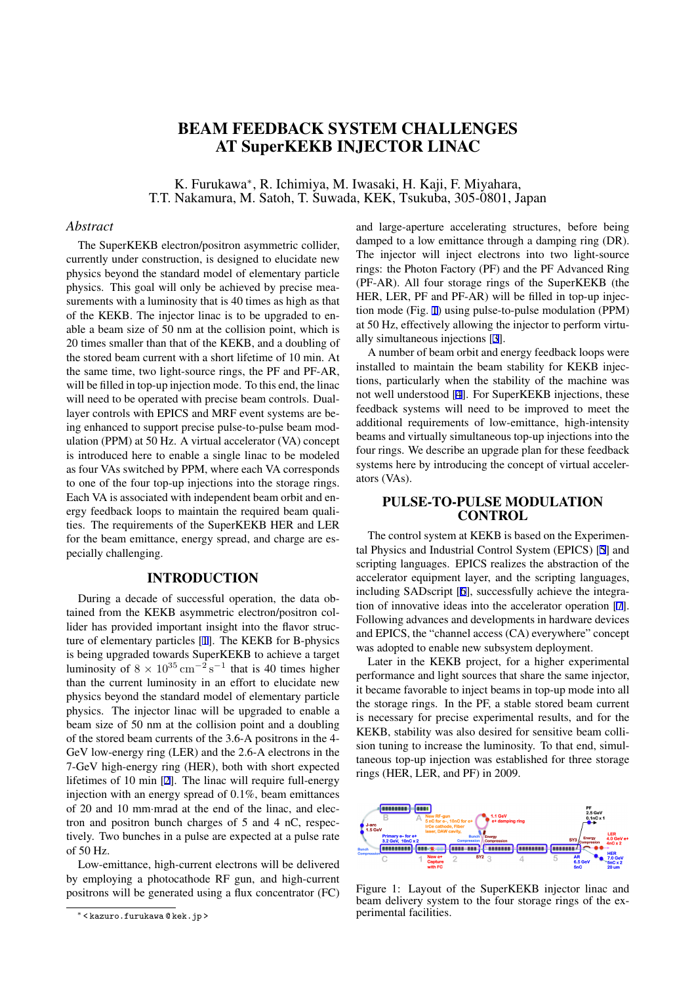# BEAM FEEDBACK SYSTEM CHALLENGES AT SuperKEKB INJECTOR LINAC

K. Furukawa*<sup>∗</sup>* , R. Ichimiya, M. Iwasaki, H. Kaji, F. Miyahara, T.T. Nakamura, M. Satoh, T. Suwada, KEK, Tsukuba, 305-0801, Japan

## *Abstract*

The SuperKEKB electron/positron asymmetric collider, currently under construction, is designed to elucidate new physics beyond the standard model of elementary particle physics. This goal will only be achieved by precise measurements with a luminosity that is 40 times as high as that of the KEKB. The injector linac is to be upgraded to enable a beam size of 50 nm at the collision point, which is 20 times smaller than that of the KEKB, and a doubling of the stored beam current with a short lifetime of 10 min. At the same time, two light-source rings, the PF and PF-AR, will be filled in top-up injection mode. To this end, the linac will need to be operated with precise beam controls. Duallayer controls with EPICS and MRF event systems are being enhanced to support precise pulse-to-pulse beam modulation (PPM) at 50 Hz. A virtual accelerator (VA) concept is introduced here to enable a single linac to be modeled as four VAs switched by PPM, where each VA corresponds to one of the four top-up injections into the storage rings. Each VA is associated with independent beam orbit and energy feedback loops to maintain the required beam qualities. The requirements of the SuperKEKB HER and LER for the beam emittance, energy spread, and charge are especially challenging.

## INTRODUCTION

During a decade of successful operation, the data obtained from the KEKB asymmetric electron/positron collider has provided important insight into the flavor structure of elementary particles [1]. The KEKB for B-physics is being upgraded towards SuperKEKB to achieve a target luminosity of  $8 \times 10^{35} \text{ cm}^{-2} \text{ s}^{-1}$  that is 40 times higher than the current luminosity in an effort to elucidate new physics beyond the standard [m](#page-3-0)odel of elementary particle physics. The injector linac will be upgraded to enable a beam size of 50 nm at the collision point and a doubling of the stored beam currents of the 3.6-A positrons in the 4- GeV low-energy ring (LER) and the 2.6-A electrons in the 7-GeV high-energy ring (HER), both with short expected lifetimes of 10 min [2]. The linac will require full-energy injection with an energy spread of 0.1%, beam emittances of 20 and 10 mm*·*mrad at the end of the linac, and electron and positron bunch charges of 5 and 4 nC, respectively. Two bunches [in](#page-3-0) a pulse are expected at a pulse rate of 50 Hz.

Low-emittance, high-current electrons will be delivered by employing a photocathode RF gun, and high-current positrons will be generated using a flux concentrator (FC) and large-aperture accelerating structures, before being damped to a low emittance through a damping ring (DR). The injector will inject electrons into two light-source rings: the Photon Factory (PF) and the PF Advanced Ring (PF-AR). All four storage rings of the SuperKEKB (the HER, LER, PF and PF-AR) will be filled in top-up injection mode (Fig. 1) using pulse-to-pulse modulation (PPM) at 50 Hz, effectively allowing the injector to perform virtually simultaneous injections [3].

A number of beam orbit and energy feedback loops were installed to maintain the beam stability for KEKB injections, particularly when the stability of the machine was not well understood [4]. For [Su](#page-3-0)perKEKB injections, these feedback systems will need to be improved to meet the additional requirements of low-emittance, high-intensity beams and virtually simultaneous top-up injections into the four rings. We descri[be](#page-3-0) an upgrade plan for these feedback systems here by introducing the concept of virtual accelerators (VAs).

## PULSE-TO-PULSE MODULATION **CONTROL**

The control system at KEKB is based on the Experimental Physics and Industrial Control System (EPICS) [5] and scripting languages. EPICS realizes the abstraction of the accelerator equipment layer, and the scripting languages, including SADscript [6], successfully achieve the integration of innovative ideas into the accelerator operati[on](#page-3-0) [7]. Following advances and developments in hardware devices and EPICS, the "channel access (CA) everywhere" concept was adopted to enable [n](#page-3-0)ew subsystem deployment.

Later in the KEKB project, for a higher experime[nta](#page-3-0)l performance and light sources that share the same injector, it became favorable to inject beams in top-up mode into all the storage rings. In the PF, a stable stored beam current is necessary for precise experimental results, and for the KEKB, stability was also desired for sensitive beam collision tuning to increase the luminosity. To that end, simultaneous top-up injection was established for three storage rings (HER, LER, and PF) in 2009.



Figure 1: Layout of the SuperKEKB injector linac and beam delivery system to the four storage rings of the experimental facilities.

*<sup>∗</sup>* < kazuro.furukawa @ kek.jp >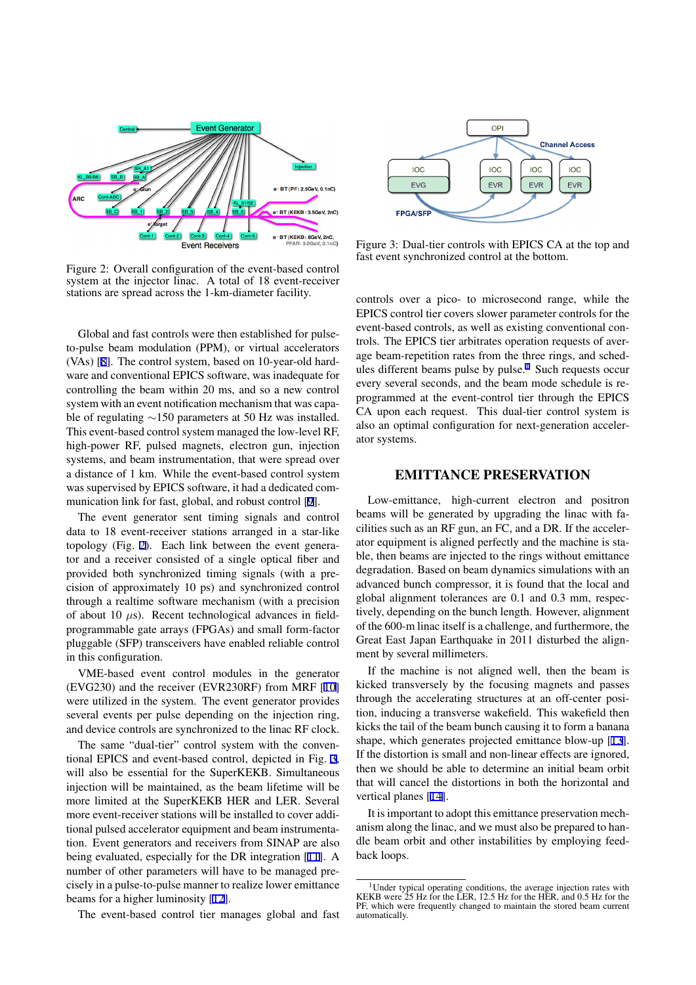

Figure 2: Overall configuration of the event-based control system at the injector linac. A total of 18 event-receiver stations are spread across the 1-km-diameter facility.

Global and fast controls were then established for pulseto-pulse beam modulation (PPM), or virtual accelerators (VAs) [8]. The control system, based on 10-year-old hardware and conventional EPICS software, was inadequate for controlling the beam within 20 ms, and so a new control system with an event notification mechanism that was capable of [reg](#page-3-0)ulating *∼*150 parameters at 50 Hz was installed. This event-based control system managed the low-level RF, high-power RF, pulsed magnets, electron gun, injection systems, and beam instrumentation, that were spread over a distance of 1 km. While the event-based control system was supervised by EPICS software, it had a dedicated communication link for fast, global, and robust control [9].

The event generator sent timing signals and control data to 18 event-receiver stations arranged in a star-like topology (Fig. 2). Each link between the event generator and a receiver consisted of a single optical fi[be](#page-3-0)r and provided both synchronized timing signals (with a precision of approximately 10 ps) and synchronized control through a realtime software mechanism (with a precision of about 10 *µ*s). Recent technological advances in fieldprogrammable gate arrays (FPGAs) and small form-factor pluggable (SFP) transceivers have enabled reliable control in this configuration.

VME-based event control modules in the generator (EVG230) and the receiver (EVR230RF) from MRF [10] were utilized in the system. The event generator provides several events per pulse depending on the injection ring, and device controls are synchronized to the linac RF clock.

The same "dual-tier" control system with the con[ven](#page-3-0)tional EPICS and event-based control, depicted in Fig. 3, will also be essential for the SuperKEKB. Simultaneous injection will be maintained, as the beam lifetime will be more limited at the SuperKEKB HER and LER. Several more event-receiver stations will be installed to cover additional pulsed accelerator equipment and beam instrumentation. Event generators and receivers from SINAP are also being evaluated, especially for the DR integration [11]. A number of other parameters will have to be managed precisely in a pulse-to-pulse manner to realize lower emittance beams for a higher luminosity [12].

The event-based control tier manages global a[nd](#page-3-0) fast



Figure 3: Dual-tier controls with EPICS CA at the top and fast event synchronized control at the bottom.

controls over a pico- to microsecond range, while the EPICS control tier covers slower parameter controls for the event-based controls, as well as existing conventional controls. The EPICS tier arbitrates operation requests of average beam-repetition rates from the three rings, and schedules different beams pulse by pulse.<sup>1</sup> Such requests occur every several seconds, and the beam mode schedule is reprogrammed at the event-control tier through the EPICS CA upon each request. This dual-tier control system is also an optimal configuration for next-generation accelerator systems.

#### EMITTANCE PRESERVATION

Low-emittance, high-current electron and positron beams will be generated by upgrading the linac with facilities such as an RF gun, an FC, and a DR. If the accelerator equipment is aligned perfectly and the machine is stable, then beams are injected to the rings without emittance degradation. Based on beam dynamics simulations with an advanced bunch compressor, it is found that the local and global alignment tolerances are 0.1 and 0.3 mm, respectively, depending on the bunch length. However, alignment of the 600-m linac itself is a challenge, and furthermore, the Great East Japan Earthquake in 2011 disturbed the alignment by several millimeters.

If the machine is not aligned well, then the beam is kicked transversely by the focusing magnets and passes through the accelerating structures at an off-center position, inducing a transverse wakefield. This wakefield then kicks the tail of the beam bunch causing it to form a banana shape, which generates projected emittance blow-up [13]. If the distortion is small and non-linear effects are ignored, then we should be able to determine an initial beam orbit that will cancel the distortions in both the horizontal and vertical planes [14].

It is important to adopt this emittance preservation mechanism along the linac, and we must also be prepared to handle beam orbit and other instabilities by employing feedback loops.

<sup>&</sup>lt;sup>1</sup>Under typical operating conditions, the average injection rates with KEKB were 25 Hz for the LER, 12.5 Hz for the HER, and 0.5 Hz for the PF, which were frequently changed to maintain the stored beam current automatically.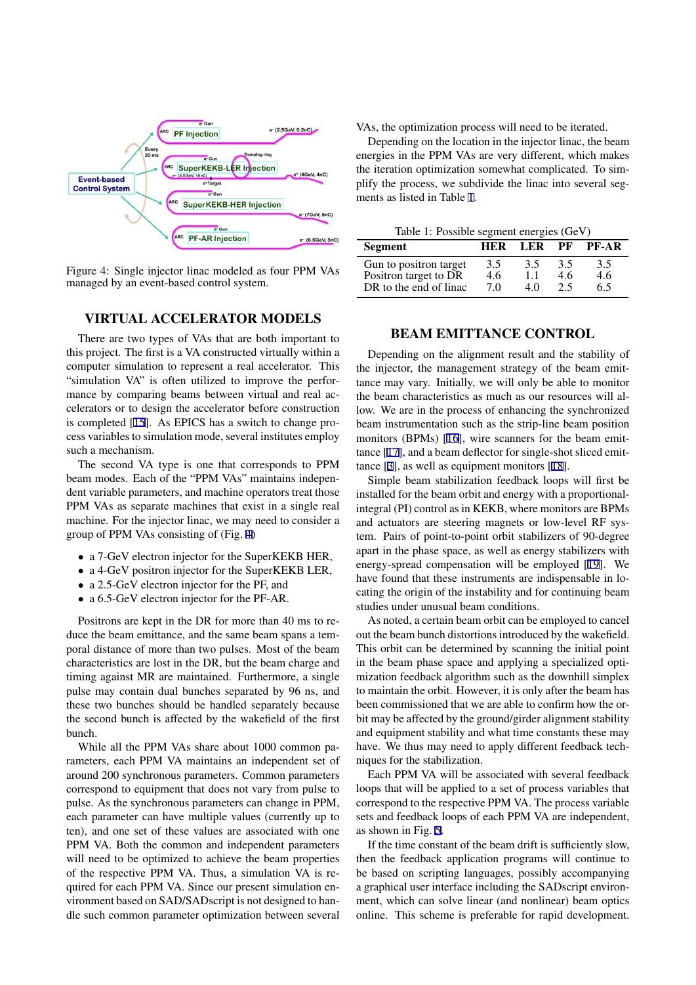

Figure 4: Single injector linac modeled as four PPM VAs managed by an event-based control system.

## VIRTUAL ACCELERATOR MODELS

There are two types of VAs that are both important to this project. The first is a VA constructed virtually within a computer simulation to represent a real accelerator. This "simulation VA" is often utilized to improve the performance by comparing beams between virtual and real accelerators or to design the accelerator before construction is completed [15]. As EPICS has a switch to change process variables to simulation mode, several institutes employ such a mechanism.

The second VA type is one that corresponds to PPM beam modes. [Ea](#page-3-0)ch of the "PPM VAs" maintains independent variable parameters, and machine operators treat those PPM VAs as separate machines that exist in a single real machine. For the injector linac, we may need to consider a group of PPM VAs consisting of (Fig. 4)

- *•* a 7-GeV electron injector for the SuperKEKB HER,
- a 4-GeV positron injector for the SuperKEKB LER,
- *•* a 2.5-GeV electron injector for the PF, and
- *•* a 6.5-GeV electron injector for the PF-AR.

Positrons are kept in the DR for more than 40 ms to reduce the beam emittance, and the same beam spans a temporal distance of more than two pulses. Most of the beam characteristics are lost in the DR, but the beam charge and timing against MR are maintained. Furthermore, a single pulse may contain dual bunches separated by 96 ns, and these two bunches should be handled separately because the second bunch is affected by the wakefield of the first bunch.

While all the PPM VAs share about 1000 common parameters, each PPM VA maintains an independent set of around 200 synchronous parameters. Common parameters correspond to equipment that does not vary from pulse to pulse. As the synchronous parameters can change in PPM, each parameter can have multiple values (currently up to ten), and one set of these values are associated with one PPM VA. Both the common and independent parameters will need to be optimized to achieve the beam properties of the respective PPM VA. Thus, a simulation VA is required for each PPM VA. Since our present simulation environment based on SAD/SADscript is not designed to handle such common parameter optimization between several VAs, the optimization process will need to be iterated.

Depending on the location in the injector linac, the beam energies in the PPM VAs are very different, which makes the iteration optimization somewhat complicated. To simplify the process, we subdivide the linac into several segments as listed in Table 1.

|  |  |  | Table 1: Possible segment energies (GeV) |  |
|--|--|--|------------------------------------------|--|
|--|--|--|------------------------------------------|--|

| Segment                | HER | LER | РF  | <b>PF-AR</b> |
|------------------------|-----|-----|-----|--------------|
| Gun to positron target | 3.5 | 3.5 | 3.5 | 3.5          |
| Positron target to DR  | 4.6 | 1.1 | 4.6 | 4.6          |
| DR to the end of linac | 70  | 4 O | 2.5 | 6.5          |

#### BEAM EMITTANCE CONTROL

Depending on the alignment result and the stability of the injector, the management strategy of the beam emittance may vary. Initially, we will only be able to monitor the beam characteristics as much as our resources will allow. We are in the process of enhancing the synchronized beam instrumentation such as the strip-line beam position monitors (BPMs) [16], wire scanners for the beam emittance [17], and a beam deflector for single-shot sliced emittance [3], as well as equipment monitors [18].

Simple beam stabilization feedback loops will first be installed for the be[am](#page-3-0) orbit and energy with a proportionalintegr[al \(P](#page-3-0)I) control as in KEKB, where monitors are BPMs and a[ctu](#page-3-0)ators are steering magnets or l[ow-](#page-3-0)level RF system. Pairs of point-to-point orbit stabilizers of 90-degree apart in the phase space, as well as energy stabilizers with energy-spread compensation will be employed [19]. We have found that these instruments are indispensable in locating the origin of the instability and for continuing beam studies under unusual beam conditions.

As noted, a certain beam orbit can be employed [to](#page-3-0) cancel out the beam bunch distortions introduced by the wakefield. This orbit can be determined by scanning the initial point in the beam phase space and applying a specialized optimization feedback algorithm such as the downhill simplex to maintain the orbit. However, it is only after the beam has been commissioned that we are able to confirm how the orbit may be affected by the ground/girder alignment stability and equipment stability and what time constants these may have. We thus may need to apply different feedback techniques for the stabilization.

Each PPM VA will be associated with several feedback loops that will be applied to a set of process variables that correspond to the respective PPM VA. The process variable sets and feedback loops of each PPM VA are independent, as shown in Fig. 5.

If the time constant of the beam drift is sufficiently slow, then the feedback application programs will continue to be based on scripting languages, possibly accompanying a graphical user [in](#page-3-0)terface including the SADscript environment, which can solve linear (and nonlinear) beam optics online. This scheme is preferable for rapid development.